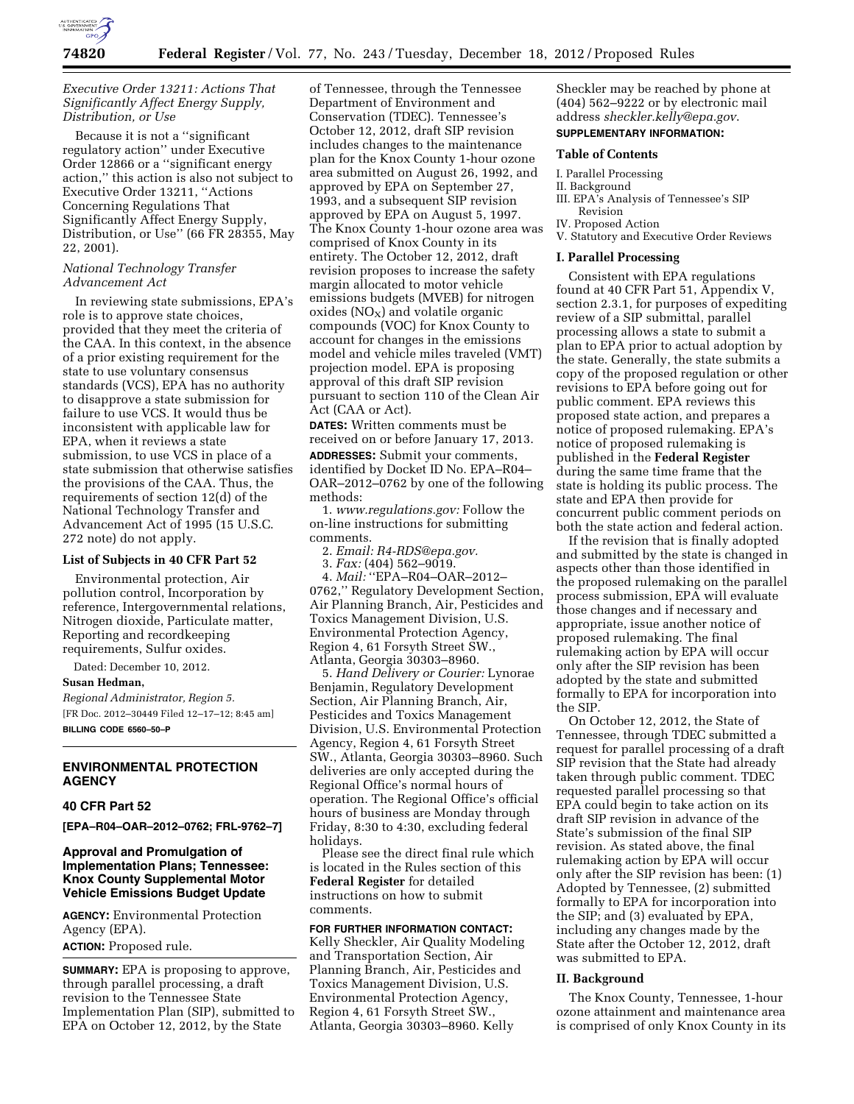

# *Executive Order 13211: Actions That Significantly Affect Energy Supply, Distribution, or Use*

Because it is not a ''significant regulatory action'' under Executive Order 12866 or a ''significant energy action,'' this action is also not subject to Executive Order 13211, ''Actions Concerning Regulations That Significantly Affect Energy Supply, Distribution, or Use'' (66 FR 28355, May 22, 2001).

# *National Technology Transfer Advancement Act*

In reviewing state submissions, EPA's role is to approve state choices, provided that they meet the criteria of the CAA. In this context, in the absence of a prior existing requirement for the state to use voluntary consensus standards (VCS), EPA has no authority to disapprove a state submission for failure to use VCS. It would thus be inconsistent with applicable law for EPA, when it reviews a state submission, to use VCS in place of a state submission that otherwise satisfies the provisions of the CAA. Thus, the requirements of section 12(d) of the National Technology Transfer and Advancement Act of 1995 (15 U.S.C. 272 note) do not apply.

### **List of Subjects in 40 CFR Part 52**

Environmental protection, Air pollution control, Incorporation by reference, Intergovernmental relations, Nitrogen dioxide, Particulate matter, Reporting and recordkeeping requirements, Sulfur oxides.

Dated: December 10, 2012.

#### **Susan Hedman,**

*Regional Administrator, Region 5.*  [FR Doc. 2012–30449 Filed 12–17–12; 8:45 am] **BILLING CODE 6560–50–P** 

**ENVIRONMENTAL PROTECTION AGENCY** 

## **40 CFR Part 52**

**[EPA–R04–OAR–2012–0762; FRL-9762–7]** 

## **Approval and Promulgation of Implementation Plans; Tennessee: Knox County Supplemental Motor Vehicle Emissions Budget Update**

**AGENCY:** Environmental Protection Agency (EPA).

**ACTION:** Proposed rule.

**SUMMARY:** EPA is proposing to approve, through parallel processing, a draft revision to the Tennessee State Implementation Plan (SIP), submitted to EPA on October 12, 2012, by the State

of Tennessee, through the Tennessee Department of Environment and Conservation (TDEC). Tennessee's October 12, 2012, draft SIP revision includes changes to the maintenance plan for the Knox County 1-hour ozone area submitted on August 26, 1992, and approved by EPA on September 27, 1993, and a subsequent SIP revision approved by EPA on August 5, 1997. The Knox County 1-hour ozone area was comprised of Knox County in its entirety. The October 12, 2012, draft revision proposes to increase the safety margin allocated to motor vehicle emissions budgets (MVEB) for nitrogen  $oxides (NO<sub>X</sub>)$  and volatile organic compounds (VOC) for Knox County to account for changes in the emissions model and vehicle miles traveled (VMT) projection model. EPA is proposing approval of this draft SIP revision pursuant to section 110 of the Clean Air Act (CAA or Act).

**DATES:** Written comments must be received on or before January 17, 2013. **ADDRESSES:** Submit your comments, identified by Docket ID No. EPA–R04– OAR–2012–0762 by one of the following methods:

1. *[www.regulations.gov:](http://www.regulations.gov)* Follow the on-line instructions for submitting comments.

2. *Email: [R4-RDS@epa.gov.](mailto:R4-RDS@epa.gov)* 

3. *Fax:* (404) 562–9019.

4. *Mail:* ''EPA–R04–OAR–2012–

0762,'' Regulatory Development Section, Air Planning Branch, Air, Pesticides and Toxics Management Division, U.S. Environmental Protection Agency, Region 4, 61 Forsyth Street SW., Atlanta, Georgia 30303–8960.

5. *Hand Delivery or Courier:* Lynorae Benjamin, Regulatory Development Section, Air Planning Branch, Air, Pesticides and Toxics Management Division, U.S. Environmental Protection Agency, Region 4, 61 Forsyth Street SW., Atlanta, Georgia 30303–8960. Such deliveries are only accepted during the Regional Office's normal hours of operation. The Regional Office's official hours of business are Monday through Friday, 8:30 to 4:30, excluding federal holidays.

Please see the direct final rule which is located in the Rules section of this **Federal Register** for detailed instructions on how to submit comments.

**FOR FURTHER INFORMATION CONTACT:**  Kelly Sheckler, Air Quality Modeling and Transportation Section, Air Planning Branch, Air, Pesticides and Toxics Management Division, U.S. Environmental Protection Agency, Region 4, 61 Forsyth Street SW., Atlanta, Georgia 30303–8960. Kelly

Sheckler may be reached by phone at (404) 562–9222 or by electronic mail address *[sheckler.kelly@epa.gov](mailto:sheckler.kelly@epa.gov)*. **SUPPLEMENTARY INFORMATION:** 

### **Table of Contents**

- I. Parallel Processing
- II. Background
- III. EPA's Analysis of Tennessee's SIP Revision
- IV. Proposed Action
- V. Statutory and Executive Order Reviews

#### **I. Parallel Processing**

Consistent with EPA regulations found at 40 CFR Part 51, Appendix V, section 2.3.1, for purposes of expediting review of a SIP submittal, parallel processing allows a state to submit a plan to EPA prior to actual adoption by the state. Generally, the state submits a copy of the proposed regulation or other revisions to EPA before going out for public comment. EPA reviews this proposed state action, and prepares a notice of proposed rulemaking. EPA's notice of proposed rulemaking is published in the **Federal Register**  during the same time frame that the state is holding its public process. The state and EPA then provide for concurrent public comment periods on both the state action and federal action.

If the revision that is finally adopted and submitted by the state is changed in aspects other than those identified in the proposed rulemaking on the parallel process submission, EPA will evaluate those changes and if necessary and appropriate, issue another notice of proposed rulemaking. The final rulemaking action by EPA will occur only after the SIP revision has been adopted by the state and submitted formally to EPA for incorporation into the SIP.

On October 12, 2012, the State of Tennessee, through TDEC submitted a request for parallel processing of a draft SIP revision that the State had already taken through public comment. TDEC requested parallel processing so that EPA could begin to take action on its draft SIP revision in advance of the State's submission of the final SIP revision. As stated above, the final rulemaking action by EPA will occur only after the SIP revision has been: (1) Adopted by Tennessee, (2) submitted formally to EPA for incorporation into the SIP; and (3) evaluated by EPA, including any changes made by the State after the October 12, 2012, draft was submitted to EPA.

## **II. Background**

The Knox County, Tennessee, 1-hour ozone attainment and maintenance area is comprised of only Knox County in its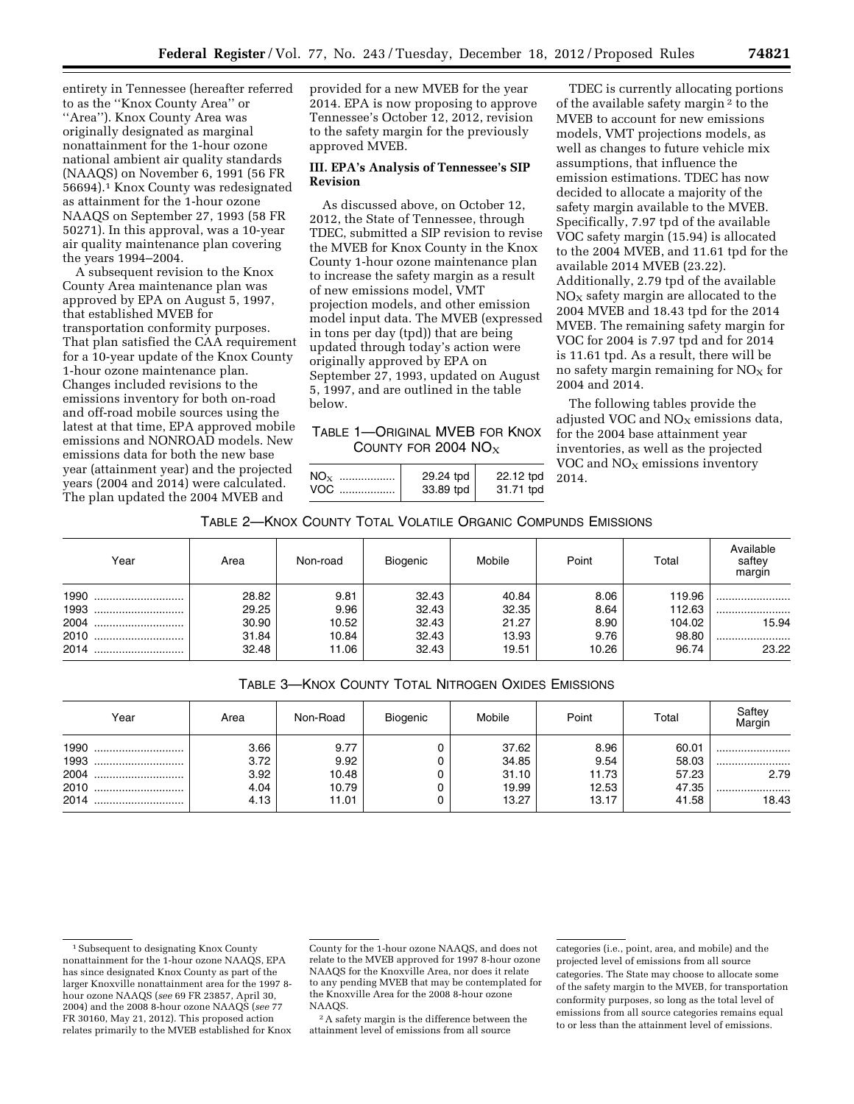entirety in Tennessee (hereafter referred to as the ''Knox County Area'' or ''Area''). Knox County Area was originally designated as marginal nonattainment for the 1-hour ozone national ambient air quality standards (NAAQS) on November 6, 1991 (56 FR 56694).1 Knox County was redesignated as attainment for the 1-hour ozone NAAQS on September 27, 1993 (58 FR 50271). In this approval, was a 10-year air quality maintenance plan covering the years 1994–2004.

A subsequent revision to the Knox County Area maintenance plan was approved by EPA on August 5, 1997, that established MVEB for transportation conformity purposes. That plan satisfied the CAA requirement for a 10-year update of the Knox County 1-hour ozone maintenance plan. Changes included revisions to the emissions inventory for both on-road and off-road mobile sources using the latest at that time, EPA approved mobile emissions and NONROAD models. New emissions data for both the new base year (attainment year) and the projected years (2004 and 2014) were calculated. The plan updated the 2004 MVEB and

provided for a new MVEB for the year 2014. EPA is now proposing to approve Tennessee's October 12, 2012, revision to the safety margin for the previously approved MVEB.

## **III. EPA's Analysis of Tennessee's SIP Revision**

As discussed above, on October 12, 2012, the State of Tennessee, through TDEC, submitted a SIP revision to revise the MVEB for Knox County in the Knox County 1-hour ozone maintenance plan to increase the safety margin as a result of new emissions model, VMT projection models, and other emission model input data. The MVEB (expressed in tons per day (tpd)) that are being updated through today's action were originally approved by EPA on September 27, 1993, updated on August 5, 1997, and are outlined in the table below.

# TABLE 1—ORIGINAL MVEB FOR KNOX COUNTY FOR 2004  $NO<sub>x</sub>$

| $NO_{\rm X}$<br><br>VOC<br> | 29.24 tpd<br>33.89 tpd | 22.12 tpd<br>31.71 tpd |
|-----------------------------|------------------------|------------------------|
|                             |                        |                        |

TDEC is currently allocating portions of the available safety margin 2 to the MVEB to account for new emissions models, VMT projections models, as well as changes to future vehicle mix assumptions, that influence the emission estimations. TDEC has now decided to allocate a majority of the safety margin available to the MVEB. Specifically, 7.97 tpd of the available VOC safety margin (15.94) is allocated to the 2004 MVEB, and 11.61 tpd for the available 2014 MVEB (23.22). Additionally, 2.79 tpd of the available  $NO<sub>x</sub>$  safety margin are allocated to the 2004 MVEB and 18.43 tpd for the 2014 MVEB. The remaining safety margin for VOC for 2004 is 7.97 tpd and for 2014 is 11.61 tpd. As a result, there will be no safety margin remaining for  $NO<sub>x</sub>$  for 2004 and 2014.

The following tables provide the adjusted VOC and  $NO<sub>X</sub>$  emissions data, for the 2004 base attainment year inventories, as well as the projected VOC and  $NO<sub>x</sub>$  emissions inventory 2014.

# TABLE 2—KNOX COUNTY TOTAL VOLATILE ORGANIC COMPUNDS EMISSIONS

| Year     | Area  | Non-road | Biogenic | Mobile | Point | Total  | Available<br>saftey<br>margin |
|----------|-------|----------|----------|--------|-------|--------|-------------------------------|
| 1990<br> | 28.82 | 9.81     | 32.43    | 40.84  | 8.06  | 119.96 |                               |
| 1993     | 29.25 | 9.96     | 32.43    | 32.35  | 8.64  | 112.63 |                               |
| 2004     | 30.90 | 10.52    | 32.43    | 21.27  | 8.90  | 104.02 | 15.94                         |
| 2010     | 31.84 | 10.84    | 32.43    | 13.93  | 9.76  | 98.80  |                               |
| 2014<br> | 32.48 | 11.06    | 32.43    | 19.51  | 10.26 | 96.74  | 23.22                         |

TABLE 3—KNOX COUNTY TOTAL NITROGEN OXIDES EMISSIONS

| Year                                     | Area                                 | Non-Road                                | Biogenic | Mobile                                    | Point                                   | Total                                     | Saftey<br>Margin          |
|------------------------------------------|--------------------------------------|-----------------------------------------|----------|-------------------------------------------|-----------------------------------------|-------------------------------------------|---------------------------|
| 1990<br><br>1993<br>2004<br>2010<br>2014 | 3.66<br>3.72<br>3.92<br>4.04<br>4.13 | 9.77<br>9.92<br>10.48<br>10.79<br>11.01 | υ        | 37.62<br>34.85<br>31.10<br>19.99<br>13.27 | 8.96<br>9.54<br>11.73<br>12.53<br>13.17 | 60.01<br>58.03<br>57.23<br>47.35<br>41.58 | <br><br>2.79<br><br>18.43 |

2A safety margin is the difference between the attainment level of emissions from all source

<sup>&</sup>lt;sup>1</sup> Subsequent to designating Knox County nonattainment for the 1-hour ozone NAAQS, EPA has since designated Knox County as part of the larger Knoxville nonattainment area for the 1997 8 hour ozone NAAQS (*see* 69 FR 23857, April 30, 2004) and the 2008 8-hour ozone NAAQS (*see* 77 FR 30160, May 21, 2012). This proposed action relates primarily to the MVEB established for Knox

County for the 1-hour ozone NAAQS, and does not relate to the MVEB approved for 1997 8-hour ozone NAAQS for the Knoxville Area, nor does it relate to any pending MVEB that may be contemplated for the Knoxville Area for the 2008 8-hour ozone NAAQS.

categories (i.e., point, area, and mobile) and the projected level of emissions from all source categories. The State may choose to allocate some of the safety margin to the MVEB, for transportation conformity purposes, so long as the total level of emissions from all source categories remains equal to or less than the attainment level of emissions.